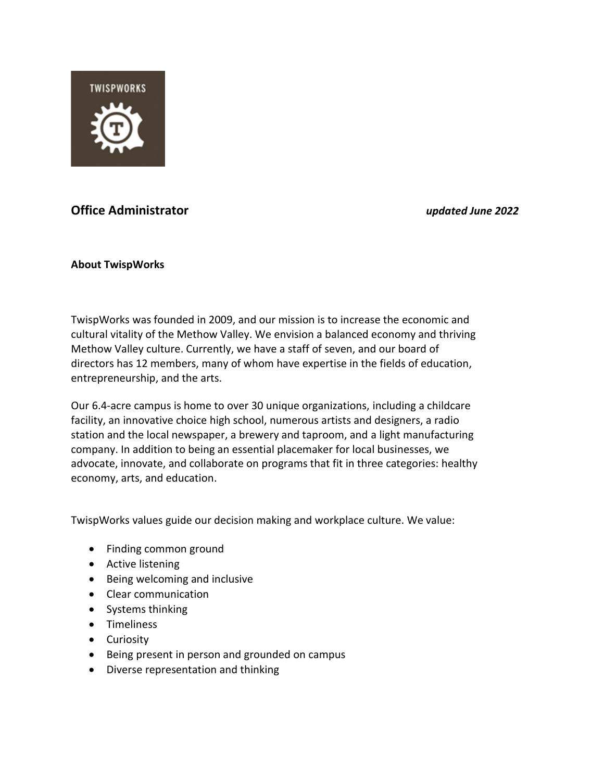

# **Office Administrator** *updated June 2022*

# **About TwispWorks**

TwispWorks was founded in 2009, and our mission is to increase the economic and cultural vitality of the Methow Valley. We envision a balanced economy and thriving Methow Valley culture. Currently, we have a staff of seven, and our board of directors has 12 members, many of whom have expertise in the fields of education, entrepreneurship, and the arts.

Our 6.4-acre campus is home to over 30 unique organizations, including a childcare facility, an innovative choice high school, numerous artists and designers, a radio station and the local newspaper, a brewery and taproom, and a light manufacturing company. In addition to being an essential placemaker for local businesses, we advocate, innovate, and collaborate on programs that fit in three categories: healthy economy, arts, and education.

TwispWorks values guide our decision making and workplace culture. We value:

- Finding common ground
- Active listening
- Being welcoming and inclusive
- Clear communication
- Systems thinking
- Timeliness
- Curiosity
- Being present in person and grounded on campus
- Diverse representation and thinking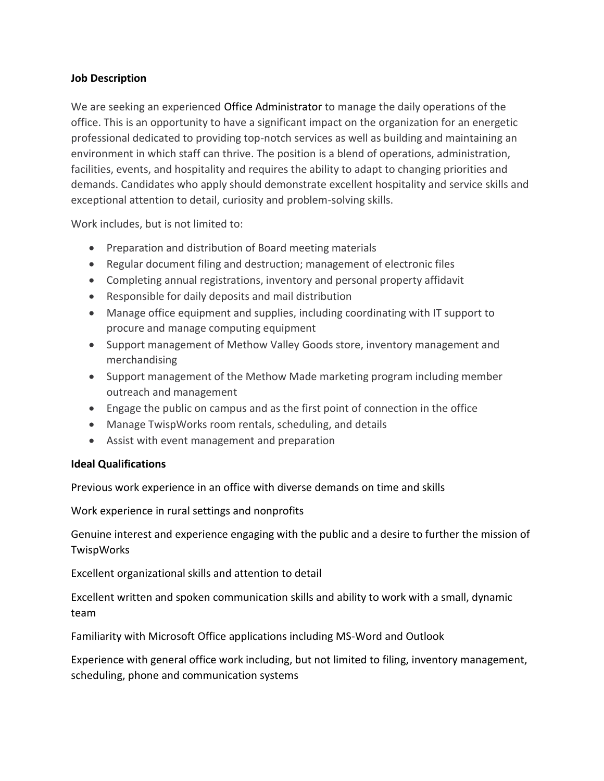# **Job Description**

We are seeking an experienced Office Administrator to manage the daily operations of the office. This is an opportunity to have a significant impact on the organization for an energetic professional dedicated to providing top-notch services as well as building and maintaining an environment in which staff can thrive. The position is a blend of operations, administration, facilities, events, and hospitality and requires the ability to adapt to changing priorities and demands. Candidates who apply should demonstrate excellent hospitality and service skills and exceptional attention to detail, curiosity and problem-solving skills.

Work includes, but is not limited to:

- Preparation and distribution of Board meeting materials
- Regular document filing and destruction; management of electronic files
- Completing annual registrations, inventory and personal property affidavit
- Responsible for daily deposits and mail distribution
- Manage office equipment and supplies, including coordinating with IT support to procure and manage computing equipment
- Support management of Methow Valley Goods store, inventory management and merchandising
- Support management of the Methow Made marketing program including member outreach and management
- Engage the public on campus and as the first point of connection in the office
- Manage TwispWorks room rentals, scheduling, and details
- Assist with event management and preparation

# **Ideal Qualifications**

Previous work experience in an office with diverse demands on time and skills

Work experience in rural settings and nonprofits

Genuine interest and experience engaging with the public and a desire to further the mission of TwispWorks

Excellent organizational skills and attention to detail

Excellent written and spoken communication skills and ability to work with a small, dynamic team

Familiarity with Microsoft Office applications including MS-Word and Outlook

Experience with general office work including, but not limited to filing, inventory management, scheduling, phone and communication systems